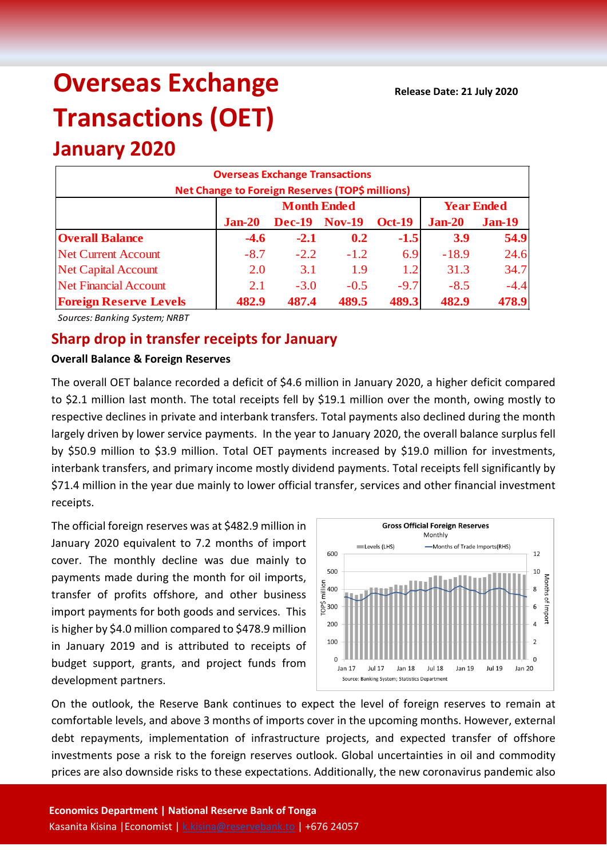# **Overseas Exchange Transactions (OET)**

## **January 2020**

| <b>Overseas Exchange Transactions</b><br>Net Change to Foreign Reserves (TOP\$ millions) |          |                    |                   |               |                           |        |  |  |  |
|------------------------------------------------------------------------------------------|----------|--------------------|-------------------|---------------|---------------------------|--------|--|--|--|
|                                                                                          |          | <b>Month Ended</b> | <b>Year Ended</b> |               |                           |        |  |  |  |
|                                                                                          | $Jan-20$ | <b>Dec-19</b>      | <b>Nov-19</b>     | <b>Oct-19</b> | $Jan-20$<br><b>Jan-19</b> |        |  |  |  |
| <b>Overall Balance</b>                                                                   | $-4.6$   | $-2.1$             | 0.2               | $-1.5$        | <b>3.9</b>                | 54.9   |  |  |  |
| <b>Net Current Account</b>                                                               | $-8.7$   | $-2.2$             | $-1.2$            | 6.9           | $-18.9$                   | 24.6   |  |  |  |
| <b>Net Capital Account</b>                                                               | 2.0      | 3.1                | 1.9               | 1.2           | 31.3                      | 34.7   |  |  |  |
| <b>Net Financial Account</b>                                                             | 2.1      | $-3.0$             | $-0.5$            | $-9.7$        | $-8.5$                    | $-4.4$ |  |  |  |
| <b>Foreign Reserve Levels</b>                                                            | 482.9    | 487.4              | 489.5             | 489.3         | 482.9                     | 478.9  |  |  |  |

*Sources: Banking System; NRBT*

### **Sharp drop in transfer receipts for January**

#### **Overall Balance & Foreign Reserves**

The overall OET balance recorded a deficit of \$4.6 million in January 2020, a higher deficit compared to \$2.1 million last month. The total receipts fell by \$19.1 million over the month, owing mostly to respective declines in private and interbank transfers. Total payments also declined during the month largely driven by lower service payments. In the year to January 2020, the overall balance surplus fell by \$50.9 million to \$3.9 million. Total OET payments increased by \$19.0 million for investments, interbank transfers, and primary income mostly dividend payments. Total receipts fell significantly by \$71.4 million in the year due mainly to lower official transfer, services and other financial investment receipts.

The official foreign reserves was at \$482.9 million in January 2020 equivalent to 7.2 months of import cover. The monthly decline was due mainly to payments made during the month for oil imports, transfer of profits offshore, and other business import payments for both goods and services. This is higher by \$4.0 million compared to \$478.9 million in January 2019 and is attributed to receipts of budget support, grants, and project funds from development partners.



On the outlook, the Reserve Bank continues to expect the level of foreign reserves to remain at comfortable levels, and above 3 months of imports cover in the upcoming months. However, external debt repayments, implementation of infrastructure projects, and expected transfer of offshore investments pose a risk to the foreign reserves outlook. Global uncertainties in oil and commodity prices are also downside risks to these expectations. Additionally, the new coronavirus pandemic also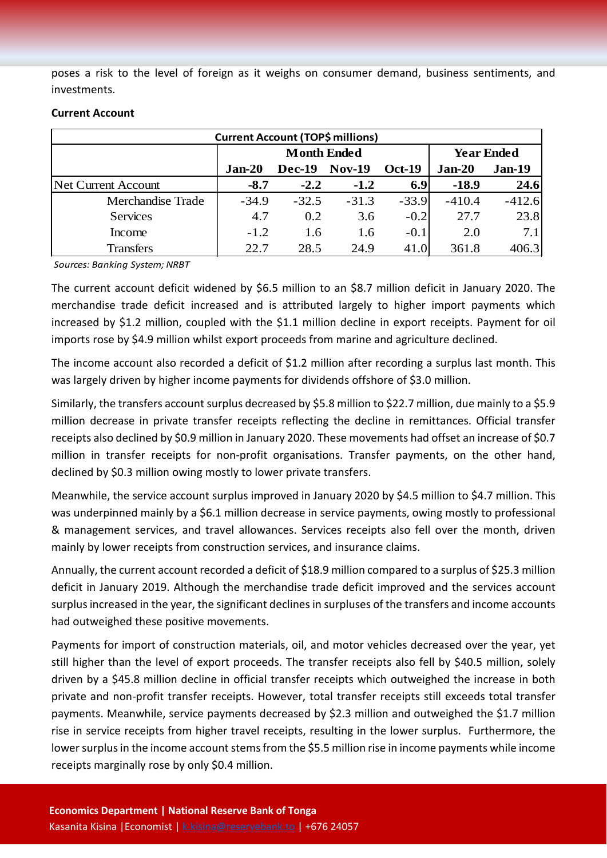poses a risk to the level of foreign as it weighs on consumer demand, business sentiments, and investments.

| <b>Current Account (TOP\$ millions)</b> |         |                    |                   |               |          |               |  |  |
|-----------------------------------------|---------|--------------------|-------------------|---------------|----------|---------------|--|--|
|                                         |         | <b>Month Ended</b> | <b>Year Ended</b> |               |          |               |  |  |
|                                         | Jan-20  | <b>Dec-19</b>      | <b>Nov-19</b>     | <b>Oct-19</b> | $Jan-20$ | <b>Jan-19</b> |  |  |
| <b>Net Current Account</b>              | $-8.7$  | $-2.2$             | $-1.2$            | 6.9           | $-18.9$  | 24.6          |  |  |
| Merchandise Trade                       | $-34.9$ | $-32.5$            | $-31.3$           | $-33.9$       | $-410.4$ | $-412.6$      |  |  |
| <b>Services</b>                         | 4.7     | 0.2                | 3.6               | $-0.2$        | 27.7     | 23.8          |  |  |
| Income                                  | $-1.2$  | 1.6                | 1.6               | $-0.1$        | 2.0      | 7.1           |  |  |
| <b>Transfers</b>                        | 22.7    | 28.5               | 24.9              | 41.0          | 361.8    | 406.3         |  |  |

#### **Current Account**

*Sources: Banking System; NRBT*

The current account deficit widened by \$6.5 million to an \$8.7 million deficit in January 2020. The merchandise trade deficit increased and is attributed largely to higher import payments which increased by \$1.2 million, coupled with the \$1.1 million decline in export receipts. Payment for oil imports rose by \$4.9 million whilst export proceeds from marine and agriculture declined.

The income account also recorded a deficit of \$1.2 million after recording a surplus last month. This was largely driven by higher income payments for dividends offshore of \$3.0 million.

Similarly, the transfers account surplus decreased by \$5.8 million to \$22.7 million, due mainly to a \$5.9 million decrease in private transfer receipts reflecting the decline in remittances. Official transfer receipts also declined by \$0.9 million in January 2020. These movements had offset an increase of \$0.7 million in transfer receipts for non-profit organisations. Transfer payments, on the other hand, declined by \$0.3 million owing mostly to lower private transfers.

Meanwhile, the service account surplus improved in January 2020 by \$4.5 million to \$4.7 million. This was underpinned mainly by a \$6.1 million decrease in service payments, owing mostly to professional & management services, and travel allowances. Services receipts also fell over the month, driven mainly by lower receipts from construction services, and insurance claims.

Annually, the current account recorded a deficit of \$18.9 million compared to a surplus of \$25.3 million deficit in January 2019. Although the merchandise trade deficit improved and the services account surplus increased in the year, the significant declines in surpluses of the transfers and income accounts had outweighed these positive movements.

Payments for import of construction materials, oil, and motor vehicles decreased over the year, yet still higher than the level of export proceeds. The transfer receipts also fell by \$40.5 million, solely driven by a \$45.8 million decline in official transfer receipts which outweighed the increase in both private and non-profit transfer receipts. However, total transfer receipts still exceeds total transfer payments. Meanwhile, service payments decreased by \$2.3 million and outweighed the \$1.7 million rise in service receipts from higher travel receipts, resulting in the lower surplus. Furthermore, the lower surplus in the income account stems from the \$5.5 million rise in income payments while income receipts marginally rose by only \$0.4 million.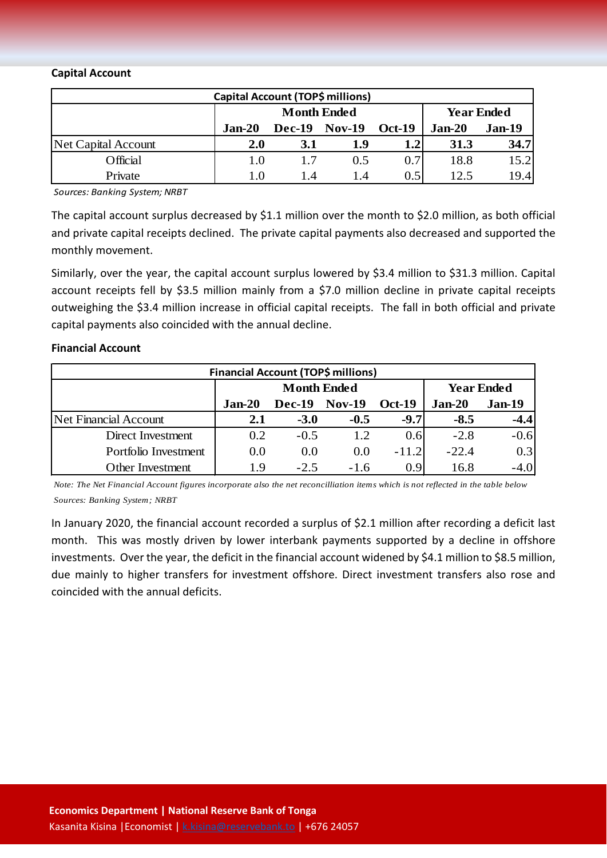#### **Capital Account**

| Capital Account (TOP\$ millions) |                                         |                      |               |                  |          |      |  |  |
|----------------------------------|-----------------------------------------|----------------------|---------------|------------------|----------|------|--|--|
|                                  | <b>Year Ended</b><br><b>Month Ended</b> |                      |               |                  |          |      |  |  |
|                                  | $Jan-20$                                | <b>Dec-19 Nov-19</b> | <b>Oct-19</b> | $Jan-20$         | $Jan-19$ |      |  |  |
| Net Capital Account              | <b>2.0</b>                              | 3.1                  | 1.9           | 1.2 <sub>l</sub> | 31.3     | 34.7 |  |  |
| Official                         | 1.0                                     |                      | 0.5           | 0.7              | 18.8     | 15.2 |  |  |
| Private                          | 1.0                                     | l .4                 | 1.4           | 0.5              | 12.5     | 19.4 |  |  |

*Sources: Banking System; NRBT*

The capital account surplus decreased by \$1.1 million over the month to \$2.0 million, as both official and private capital receipts declined. The private capital payments also decreased and supported the monthly movement.

Similarly, over the year, the capital account surplus lowered by \$3.4 million to \$31.3 million. Capital account receipts fell by \$3.5 million mainly from a \$7.0 million decline in private capital receipts outweighing the \$3.4 million increase in official capital receipts. The fall in both official and private capital payments also coincided with the annual decline.

#### **Financial Account**

| <b>Financial Account (TOP\$ millions)</b> |               |                    |                   |          |          |               |  |  |
|-------------------------------------------|---------------|--------------------|-------------------|----------|----------|---------------|--|--|
|                                           |               | <b>Month Ended</b> | <b>Year Ended</b> |          |          |               |  |  |
|                                           | <b>Jan-20</b> | <b>Dec-19</b>      | <b>Nov-19</b>     | $Oct-19$ | $Jan-20$ | <b>Jan-19</b> |  |  |
| Net Financial Account                     | 2.1           | $-3.0$             | $-0.5$            | $-9.7$   | $-8.5$   | $-4.4$        |  |  |
| Direct Investment                         | 0.2           | $-0.5$             | 1.2               | 0.6      | $-2.8$   | $-0.6$        |  |  |
| Portfolio Investment                      | 0.0           | 0.0                | 0.0               | $-11.2$  | $-22.4$  | 0.3           |  |  |
| <b>Other Investment</b>                   | 1.9           | $-2.5$             | $-1.6$            | 0.9      | 16.8     |               |  |  |

*Note: The Net Financial Account figures incorporate also the net reconcilliation items which is not reflected in the table below*

*Sources: Banking System; NRBT*

In January 2020, the financial account recorded a surplus of \$2.1 million after recording a deficit last month. This was mostly driven by lower interbank payments supported by a decline in offshore investments. Over the year, the deficit in the financial account widened by \$4.1 million to \$8.5 million, due mainly to higher transfers for investment offshore. Direct investment transfers also rose and coincided with the annual deficits.